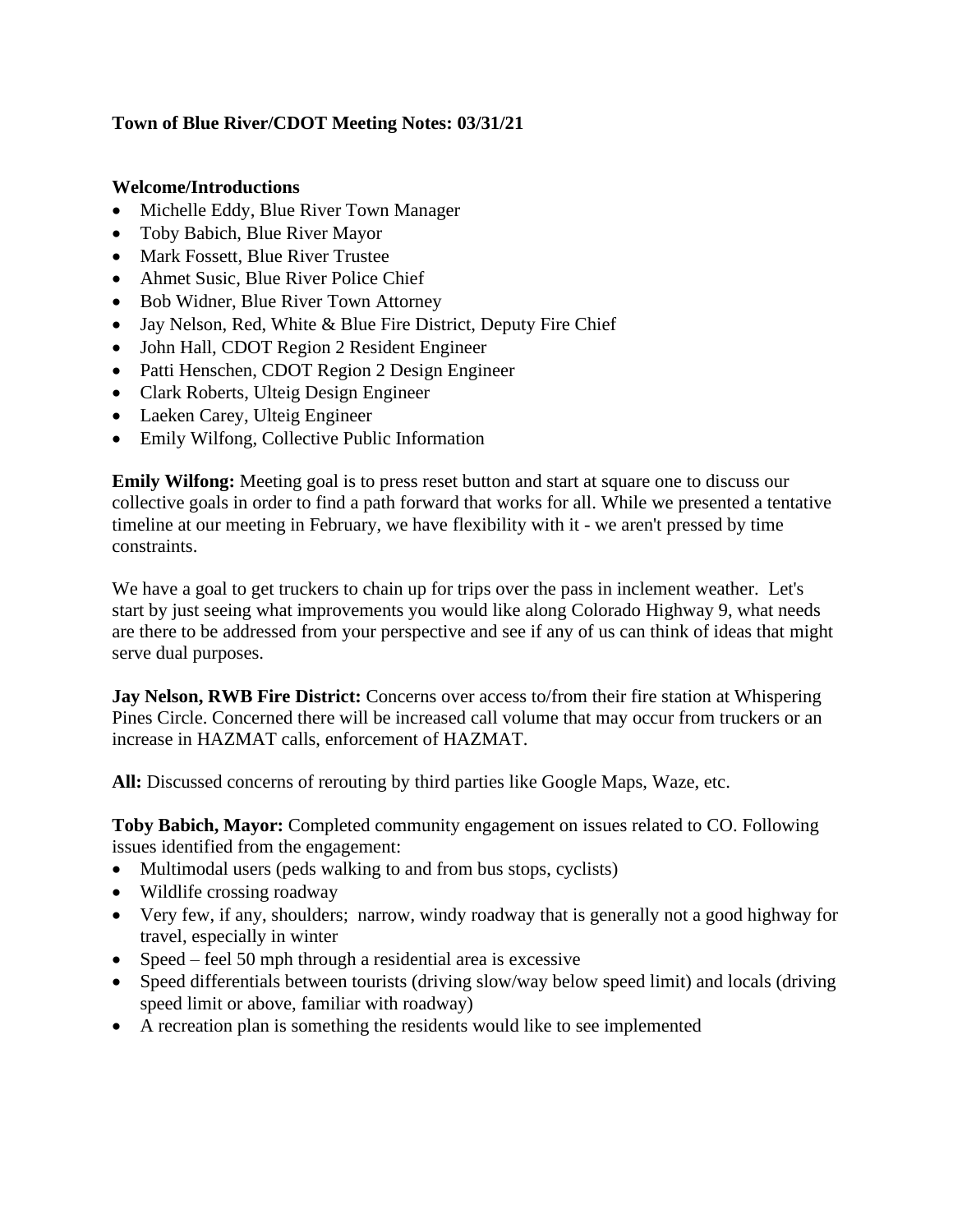## **Town of Blue River/CDOT Meeting Notes: 03/31/21**

## **Welcome/Introductions**

- Michelle Eddy, Blue River Town Manager
- Toby Babich, Blue River Mayor
- Mark Fossett, Blue River Trustee
- Ahmet Susic, Blue River Police Chief
- Bob Widner, Blue River Town Attorney
- Jay Nelson, Red, White & Blue Fire District, Deputy Fire Chief
- John Hall, CDOT Region 2 Resident Engineer
- Patti Henschen, CDOT Region 2 Design Engineer
- Clark Roberts, Ulteig Design Engineer
- Laeken Carey, Ulteig Engineer
- Emily Wilfong, Collective Public Information

**Emily Wilfong:** Meeting goal is to press reset button and start at square one to discuss our collective goals in order to find a path forward that works for all. While we presented a tentative timeline at our meeting in February, we have flexibility with it - we aren't pressed by time constraints.

We have a goal to get truckers to chain up for trips over the pass in inclement weather. Let's start by just seeing what improvements you would like along Colorado Highway 9, what needs are there to be addressed from your perspective and see if any of us can think of ideas that might serve dual purposes.

**Jay Nelson, RWB Fire District:** Concerns over access to/from their fire station at Whispering Pines Circle. Concerned there will be increased call volume that may occur from truckers or an increase in HAZMAT calls, enforcement of HAZMAT.

**All:** Discussed concerns of rerouting by third parties like Google Maps, Waze, etc.

**Toby Babich, Mayor:** Completed community engagement on issues related to CO. Following issues identified from the engagement:

- Multimodal users (peds walking to and from bus stops, cyclists)
- Wildlife crossing roadway
- Very few, if any, shoulders; narrow, windy roadway that is generally not a good highway for travel, especially in winter
- Speed feel 50 mph through a residential area is excessive
- Speed differentials between tourists (driving slow/way below speed limit) and locals (driving speed limit or above, familiar with roadway)
- A recreation plan is something the residents would like to see implemented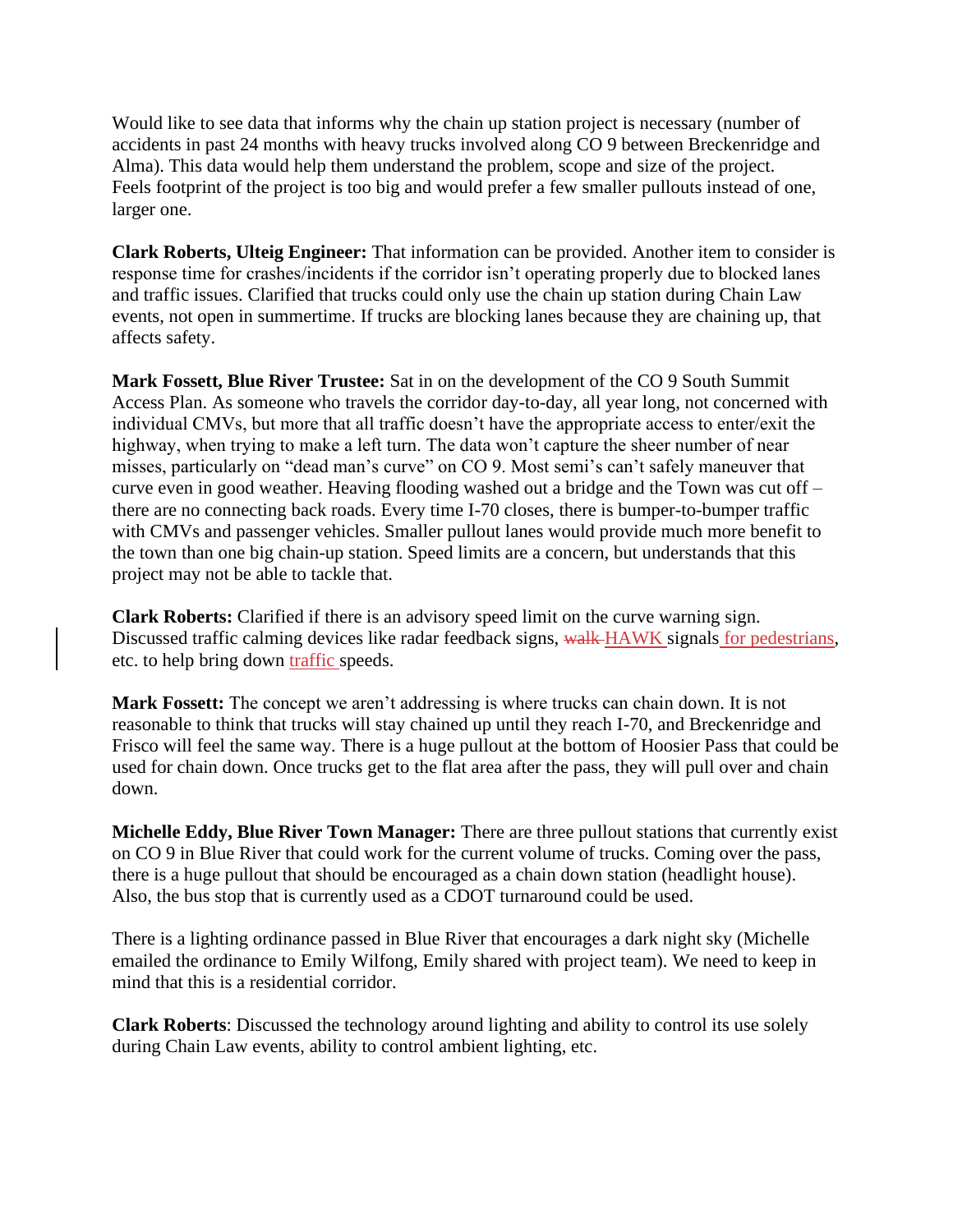Would like to see data that informs why the chain up station project is necessary (number of accidents in past 24 months with heavy trucks involved along CO 9 between Breckenridge and Alma). This data would help them understand the problem, scope and size of the project. Feels footprint of the project is too big and would prefer a few smaller pullouts instead of one, larger one.

**Clark Roberts, Ulteig Engineer:** That information can be provided. Another item to consider is response time for crashes/incidents if the corridor isn't operating properly due to blocked lanes and traffic issues. Clarified that trucks could only use the chain up station during Chain Law events, not open in summertime. If trucks are blocking lanes because they are chaining up, that affects safety.

**Mark Fossett, Blue River Trustee:** Sat in on the development of the CO 9 South Summit Access Plan. As someone who travels the corridor day-to-day, all year long, not concerned with individual CMVs, but more that all traffic doesn't have the appropriate access to enter/exit the highway, when trying to make a left turn. The data won't capture the sheer number of near misses, particularly on "dead man's curve" on CO 9. Most semi's can't safely maneuver that curve even in good weather. Heaving flooding washed out a bridge and the Town was cut off – there are no connecting back roads. Every time I-70 closes, there is bumper-to-bumper traffic with CMVs and passenger vehicles. Smaller pullout lanes would provide much more benefit to the town than one big chain-up station. Speed limits are a concern, but understands that this project may not be able to tackle that.

**Clark Roberts:** Clarified if there is an advisory speed limit on the curve warning sign. Discussed traffic calming devices like radar feedback signs, walk HAWK signals for pedestrians, etc. to help bring down traffic speeds.

**Mark Fossett:** The concept we aren't addressing is where trucks can chain down. It is not reasonable to think that trucks will stay chained up until they reach I-70, and Breckenridge and Frisco will feel the same way. There is a huge pullout at the bottom of Hoosier Pass that could be used for chain down. Once trucks get to the flat area after the pass, they will pull over and chain down.

**Michelle Eddy, Blue River Town Manager:** There are three pullout stations that currently exist on CO 9 in Blue River that could work for the current volume of trucks. Coming over the pass, there is a huge pullout that should be encouraged as a chain down station (headlight house). Also, the bus stop that is currently used as a CDOT turnaround could be used.

There is a lighting ordinance passed in Blue River that encourages a dark night sky (Michelle emailed the ordinance to Emily Wilfong, Emily shared with project team). We need to keep in mind that this is a residential corridor.

**Clark Roberts**: Discussed the technology around lighting and ability to control its use solely during Chain Law events, ability to control ambient lighting, etc.